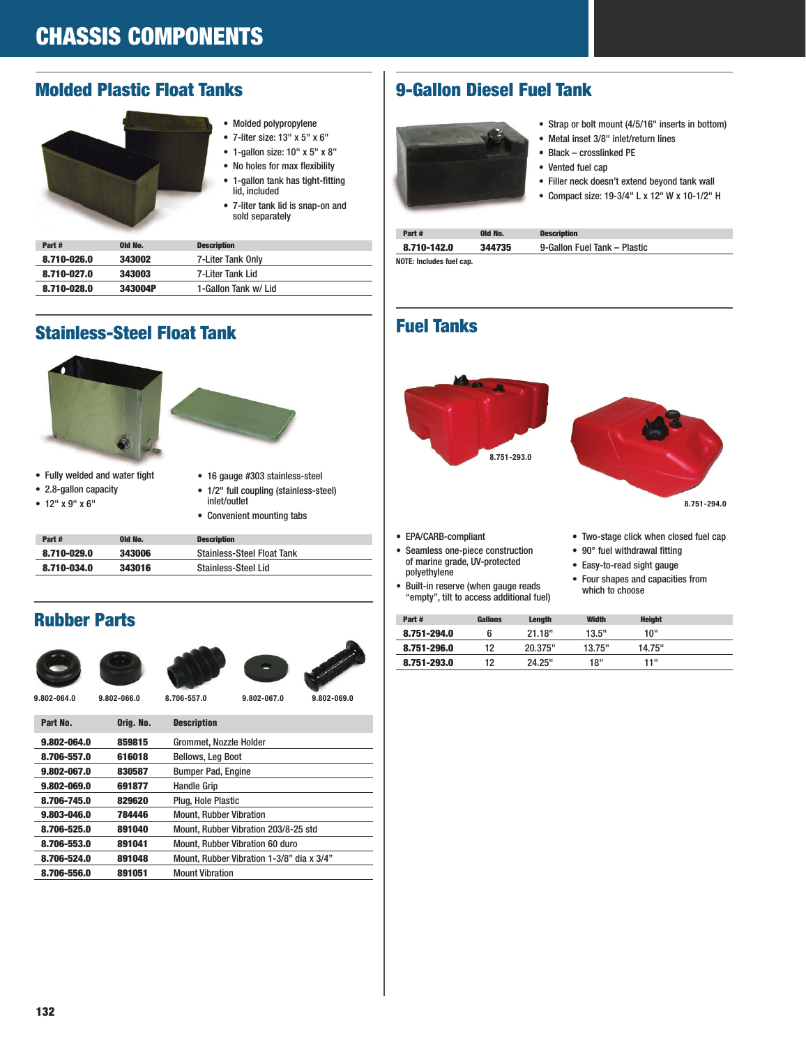## Molded Plastic Float Tanks



- Molded polypropylene
- 7-liter size: 13" x 5" x 6"
- 1-gallon size: 10" x 5" x 8" • No holes for max flexibility
- 1-gallon tank has tight-fitting
- lid, included • 7-liter tank lid is snap-on and sold separately

| Part#       | Old No. | <b>Description</b>   |
|-------------|---------|----------------------|
| 8.710-026.0 | 343002  | 7-Liter Tank Only    |
| 8.710-027.0 | 343003  | 7-Liter Tank Lid     |
| 8.710-028.0 | 343004P | 1-Gallon Tank w/ Lid |

# Stainless-Steel Float Tank





- Fully welded and water tight
- 2.8-gallon capacity
- 12" x 9" x 6"
- 16 gauge #303 stainless-steel
- 1/2" full coupling (stainless-steel) inlet/outlet
- Convenient mounting tabs

| Part#       | Old No. | <b>Description</b>                |
|-------------|---------|-----------------------------------|
| 8.710-029.0 | 343006  | <b>Stainless-Steel Float Tank</b> |
| 8.710-034.0 | 343016  | Stainless-Steel Lid               |

# Rubber Parts









**9.802-064.0 9.802-066.0 8.706-557.0 9.802-067.0 9.802-069.0**

| Part No.    | Orig. No. | <b>Description</b>                        |
|-------------|-----------|-------------------------------------------|
| 9.802-064.0 | 859815    | Grommet, Nozzle Holder                    |
| 8.706-557.0 | 616018    | <b>Bellows, Leg Boot</b>                  |
| 9.802-067.0 | 830587    | <b>Bumper Pad, Engine</b>                 |
| 9.802-069.0 | 691877    | <b>Handle Grip</b>                        |
| 8.706-745.0 | 829620    | Plug. Hole Plastic                        |
| 9.803-046.0 | 784446    | <b>Mount. Rubber Vibration</b>            |
| 8.706-525.0 | 891040    | Mount. Rubber Vibration 203/8-25 std      |
| 8.706-553.0 | 891041    | <b>Mount. Rubber Vibration 60 duro</b>    |
| 8.706-524.0 | 891048    | Mount, Rubber Vibration 1-3/8" dia x 3/4" |
| 8.706-556.0 | 891051    | <b>Mount Vibration</b>                    |
|             |           |                                           |

## 9-Gallon Diesel Fuel Tank



- Strap or bolt mount (4/5/16" inserts in bottom)
- Metal inset 3/8" inlet/return lines
- Black crosslinked PE
- Vented fuel cap
- Filler neck doesn't extend beyond tank wall
- Compact size: 19-3/4" L x 12" W x 10-1/2" H

| Part#                    | Old No. | <b>Description</b>           |
|--------------------------|---------|------------------------------|
| 8.710-142.0              | 344735  | 9-Gallon Fuel Tank - Plastic |
| NOTE: Includes fuel cap. |         |                              |

## Fuel Tanks



- EPA/CARB-compliant
- Seamless one-piece construction of marine grade, UV-protected polyethylene
- Built-in reserve (when gauge reads "empty", tilt to access additional fuel)
- Two-stage click when closed fuel cap
- 90° fuel withdrawal fitting
- Easy-to-read sight gauge
- Four shapes and capacities from which to choose

|             |    | <b>Length</b> | <b>Width</b> | <b>Height</b> |  |
|-------------|----|---------------|--------------|---------------|--|
| 8.751-294.0 |    | 21.18"        | 13.5"        | 10"           |  |
| 8.751-296.0 | 12 | 20.375"       | 13.75"       | 14.75"        |  |
| 8.751-293.0 | 12 | 24.25"        | 18"          | 11"           |  |